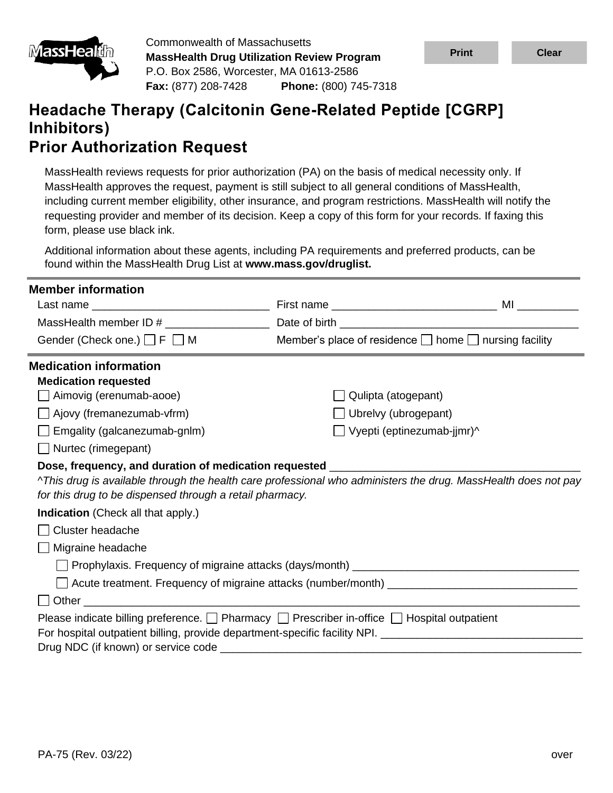

Commonwealth of Massachusetts **MassHealth Drug Utilization Review Program** P.O. Box 2586, Worcester, MA 01613-2586 **Fax:** (877) 208-7428 **Phone:** (800) 745-7318

# **Headache Therapy (Calcitonin Gene-Related Peptide [CGRP] Inhibitors) Prior Authorization Request**

MassHealth reviews requests for prior authorization (PA) on the basis of medical necessity only. If MassHealth approves the request, payment is still subject to all general conditions of MassHealth, including current member eligibility, other insurance, and program restrictions. MassHealth will notify the requesting provider and member of its decision. Keep a copy of this form for your records. If faxing this form, please use black ink.

Additional information about these agents, including PA requirements and preferred products, can be found within the MassHealth Drug List at **www.mass.gov/druglist.**

| <b>Member information</b>                                                                                      |                                                                 |  |  |
|----------------------------------------------------------------------------------------------------------------|-----------------------------------------------------------------|--|--|
|                                                                                                                |                                                                 |  |  |
| MassHealth member ID #                                                                                         |                                                                 |  |  |
| Gender (Check one.) □ F □ M                                                                                    | Member's place of residence $\Box$ home $\Box$ nursing facility |  |  |
| <b>Medication information</b>                                                                                  |                                                                 |  |  |
| <b>Medication requested</b>                                                                                    |                                                                 |  |  |
| Aimovig (erenumab-aooe)                                                                                        | Qulipta (atogepant)                                             |  |  |
| Ajovy (fremanezumab-vfrm)                                                                                      | Ubrelvy (ubrogepant)                                            |  |  |
| $\Box$ Emgality (galcanezumab-gnlm)                                                                            | $\Box$ Vyepti (eptinezumab-jjmr)^                               |  |  |
| $\Box$ Nurtec (rimegepant)                                                                                     |                                                                 |  |  |
| Dose, frequency, and duration of medication requested __________________________                               |                                                                 |  |  |
| ^This drug is available through the health care professional who administers the drug. MassHealth does not pay |                                                                 |  |  |
| for this drug to be dispensed through a retail pharmacy.                                                       |                                                                 |  |  |
| <b>Indication</b> (Check all that apply.)                                                                      |                                                                 |  |  |
| <b>Cluster headache</b>                                                                                        |                                                                 |  |  |
| Migraine headache                                                                                              |                                                                 |  |  |
|                                                                                                                |                                                                 |  |  |
|                                                                                                                |                                                                 |  |  |
|                                                                                                                |                                                                 |  |  |
| Please indicate billing preference. $\Box$ Pharmacy $\Box$ Prescriber in-office $\Box$ Hospital outpatient     |                                                                 |  |  |
| For hospital outpatient billing, provide department-specific facility NPI. ___________________________________ |                                                                 |  |  |
|                                                                                                                |                                                                 |  |  |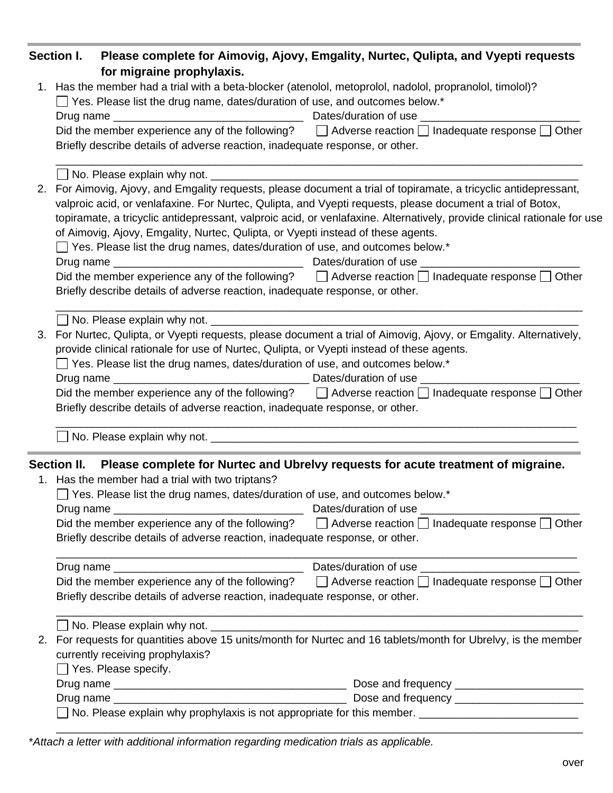|  | Section I. Please complete for Aimovig, Ajovy, Emgality, Nurtec, Qulipta, and Vyepti requests                                                                                                   |
|--|-------------------------------------------------------------------------------------------------------------------------------------------------------------------------------------------------|
|  | for migraine prophylaxis.                                                                                                                                                                       |
|  | 1. Has the member had a trial with a beta-blocker (atenolol, metoprolol, nadolol, propranolol, timolol)?                                                                                        |
|  | $\Box$ Yes. Please list the drug name, dates/duration of use, and outcomes below.*                                                                                                              |
|  |                                                                                                                                                                                                 |
|  | Did the member experience any of the following? $\Box$ Adverse reaction $\Box$ Inadequate response $\Box$ Other                                                                                 |
|  | Briefly describe details of adverse reaction, inadequate response, or other.                                                                                                                    |
|  |                                                                                                                                                                                                 |
|  | 2. For Aimovig, Ajovy, and Emgality requests, please document a trial of topiramate, a tricyclic antidepressant,                                                                                |
|  | valproic acid, or venlafaxine. For Nurtec, Qulipta, and Vyepti requests, please document a trial of Botox,                                                                                      |
|  | topiramate, a tricyclic antidepressant, valproic acid, or venlafaxine. Alternatively, provide clinical rationale for use                                                                        |
|  | of Aimovig, Ajovy, Emgality, Nurtec, Qulipta, or Vyepti instead of these agents.                                                                                                                |
|  | $\Box$ Yes. Please list the drug names, dates/duration of use, and outcomes below.*                                                                                                             |
|  |                                                                                                                                                                                                 |
|  | Did the member experience any of the following? $\Box$ Adverse reaction $\Box$ Inadequate response $\Box$ Other                                                                                 |
|  | Briefly describe details of adverse reaction, inadequate response, or other.                                                                                                                    |
|  |                                                                                                                                                                                                 |
|  | 3. For Nurtec, Qulipta, or Vyepti requests, please document a trial of Aimovig, Ajovy, or Emgality. Alternatively,                                                                              |
|  | provide clinical rationale for use of Nurtec, Qulipta, or Vyepti instead of these agents.                                                                                                       |
|  | $\Box$ Yes. Please list the drug names, dates/duration of use, and outcomes below.*                                                                                                             |
|  |                                                                                                                                                                                                 |
|  | Did the member experience any of the following? $\Box$ Adverse reaction $\Box$ Inadequate response $\Box$ Other<br>Briefly describe details of adverse reaction, inadequate response, or other. |
|  |                                                                                                                                                                                                 |
|  | Section II. Please complete for Nurtec and Ubrelvy requests for acute treatment of migraine.                                                                                                    |
|  | 1. Has the member had a trial with two triptans?                                                                                                                                                |
|  | $\Box$ Yes. Please list the drug names, dates/duration of use, and outcomes below.*                                                                                                             |
|  |                                                                                                                                                                                                 |
|  | Did the member experience any of the following? $\Box$ Adverse reaction $\Box$ Inadequate response $\Box$ Other                                                                                 |
|  | Briefly describe details of adverse reaction, inadequate response, or other.                                                                                                                    |
|  |                                                                                                                                                                                                 |
|  | Did the member experience any of the following? $\Box$ Adverse reaction $\Box$ Inadequate response $\Box$ Other                                                                                 |
|  | Briefly describe details of adverse reaction, inadequate response, or other.                                                                                                                    |
|  |                                                                                                                                                                                                 |
|  | 2. For requests for quantities above 15 units/month for Nurtec and 16 tablets/month for Ubrelvy, is the member                                                                                  |
|  | currently receiving prophylaxis?                                                                                                                                                                |
|  | $\Box$ Yes. Please specify.                                                                                                                                                                     |
|  |                                                                                                                                                                                                 |
|  |                                                                                                                                                                                                 |
|  | No. Please explain why prophylaxis is not appropriate for this member. ____________________________                                                                                             |
|  |                                                                                                                                                                                                 |

\**Attach a letter with additional information regarding medication trials as applicable.*